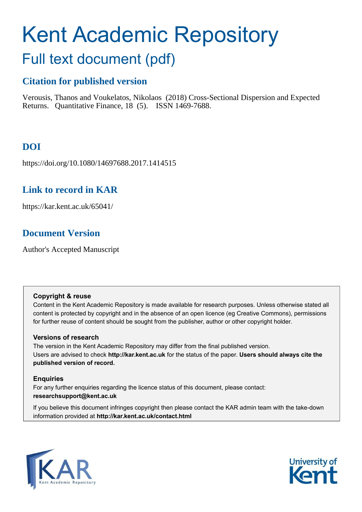# Kent Academic Repository

# Full text document (pdf)

# **Citation for published version**

Verousis, Thanos and Voukelatos, Nikolaos (2018) Cross-Sectional Dispersion and Expected Returns. Quantitative Finance, 18 (5). ISSN 1469-7688.

# **DOI**

https://doi.org/10.1080/14697688.2017.1414515

## **Link to record in KAR**

https://kar.kent.ac.uk/65041/

# **Document Version**

Author's Accepted Manuscript

## **Copyright & reuse**

Content in the Kent Academic Repository is made available for research purposes. Unless otherwise stated all content is protected by copyright and in the absence of an open licence (eg Creative Commons), permissions for further reuse of content should be sought from the publisher, author or other copyright holder.

## **Versions of research**

The version in the Kent Academic Repository may differ from the final published version. Users are advised to check **http://kar.kent.ac.uk** for the status of the paper. **Users should always cite the published version of record.**

## **Enquiries**

For any further enquiries regarding the licence status of this document, please contact: **researchsupport@kent.ac.uk**

If you believe this document infringes copyright then please contact the KAR admin team with the take-down information provided at **http://kar.kent.ac.uk/contact.html**



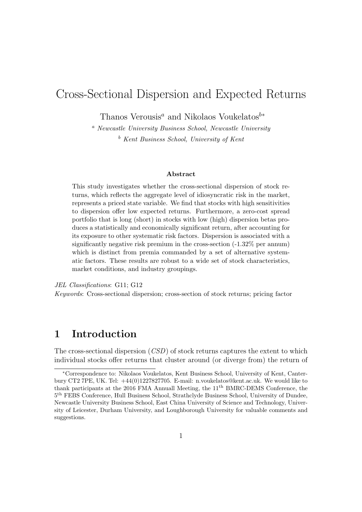# Cross-Sectional Dispersion and Expected Returns

Thanos Verousis<sup>a</sup> and Nikolaos Voukelatos<sup>b∗</sup>

<sup>a</sup> Newcastle University Business School, Newcastle University  $b$  Kent Business School, University of Kent

#### Abstract

This study investigates whether the cross-sectional dispersion of stock returns, which reflects the aggregate level of idiosyncratic risk in the market, represents a priced state variable. We find that stocks with high sensitivities to dispersion offer low expected returns. Furthermore, a zero-cost spread portfolio that is long (short) in stocks with low (high) dispersion betas produces a statistically and economically significant return, after accounting for its exposure to other systematic risk factors. Dispersion is associated with a significantly negative risk premium in the cross-section (-1.32% per annum) which is distinct from premia commanded by a set of alternative systematic factors. These results are robust to a wide set of stock characteristics, market conditions, and industry groupings.

JEL Classifications: G11; G12

Keywords: Cross-sectional dispersion; cross-section of stock returns; pricing factor

## 1 Introduction

The cross-sectional dispersion  $(CSD)$  of stock returns captures the extent to which individual stocks offer returns that cluster around (or diverge from) the return of

<sup>∗</sup>Correspondence to: Nikolaos Voukelatos, Kent Business School, University of Kent, Canterbury CT2 7PE, UK. Tel: +44(0)1227827705. E-mail: n.voukelatos@kent.ac.uk. We would like to thank participants at the 2016 FMA Annuall Meeting, the 11<sup>th</sup> BMRC-DEMS Conference, the 5 th FEBS Conference, Hull Business School, Strathclyde Business School, University of Dundee, Newcastle University Business School, East China University of Science and Technology, University of Leicester, Durham University, and Loughborough University for valuable comments and suggestions.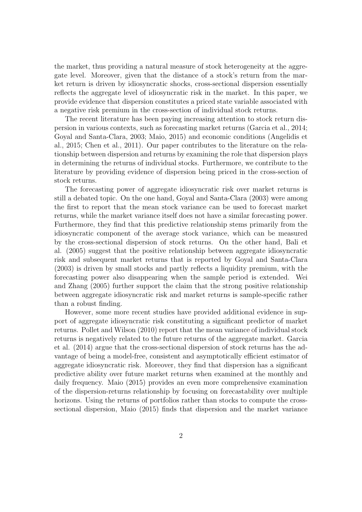the market, thus providing a natural measure of stock heterogeneity at the aggregate level. Moreover, given that the distance of a stock's return from the market return is driven by idiosyncratic shocks, cross-sectional dispersion essentially reflects the aggregate level of idiosyncratic risk in the market. In this paper, we provide evidence that dispersion constitutes a priced state variable associated with a negative risk premium in the cross-section of individual stock returns.

The recent literature has been paying increasing attention to stock return dispersion in various contexts, such as forecasting market returns (Garcia et al., 2014; Goyal and Santa-Clara, 2003; Maio, 2015) and economic conditions (Angelidis et al., 2015; Chen et al., 2011). Our paper contributes to the literature on the relationship between dispersion and returns by examining the role that dispersion plays in determining the returns of individual stocks. Furthermore, we contribute to the literature by providing evidence of dispersion being priced in the cross-section of stock returns.

The forecasting power of aggregate idiosyncratic risk over market returns is still a debated topic. On the one hand, Goyal and Santa-Clara (2003) were among the first to report that the mean stock variance can be used to forecast market returns, while the market variance itself does not have a similar forecasting power. Furthermore, they find that this predictive relationship stems primarily from the idiosyncratic component of the average stock variance, which can be measured by the cross-sectional dispersion of stock returns. On the other hand, Bali et al. (2005) suggest that the positive relationship between aggregate idiosyncratic risk and subsequent market returns that is reported by Goyal and Santa-Clara (2003) is driven by small stocks and partly reflects a liquidity premium, with the forecasting power also disappearing when the sample period is extended. Wei and Zhang (2005) further support the claim that the strong positive relationship between aggregate idiosyncratic risk and market returns is sample-specific rather than a robust finding.

However, some more recent studies have provided additional evidence in support of aggregate idiosyncratic risk constituting a significant predictor of market returns. Pollet and Wilson (2010) report that the mean variance of individual stock returns is negatively related to the future returns of the aggregate market. Garcia et al. (2014) argue that the cross-sectional dispersion of stock returns has the advantage of being a model-free, consistent and asymptotically efficient estimator of aggregate idiosyncratic risk. Moreover, they find that dispersion has a significant predictive ability over future market returns when examined at the monthly and daily frequency. Maio (2015) provides an even more comprehensive examination of the dispersion-returns relationship by focusing on forecastability over multiple horizons. Using the returns of portfolios rather than stocks to compute the crosssectional dispersion, Maio (2015) finds that dispersion and the market variance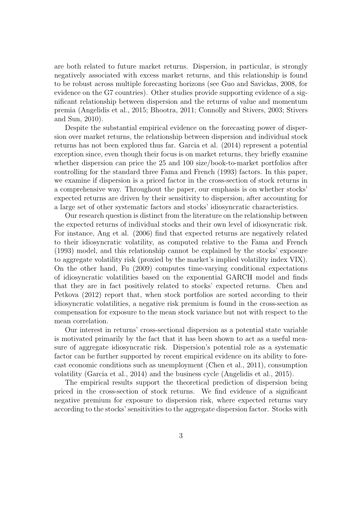are both related to future market returns. Dispersion, in particular, is strongly negatively associated with excess market returns, and this relationship is found to be robust across multiple forecasting horizons (see Guo and Savickas, 2008, for evidence on the G7 countries). Other studies provide supporting evidence of a significant relationship between dispersion and the returns of value and momentum premia (Angelidis et al., 2015; Bhootra, 2011; Connolly and Stivers, 2003; Stivers and Sun, 2010).

Despite the substantial empirical evidence on the forecasting power of dispersion over market returns, the relationship between dispersion and individual stock returns has not been explored thus far. Garcia et al. (2014) represent a potential exception since, even though their focus is on market returns, they briefly examine whether dispersion can price the 25 and 100 size/book-to-market portfolios after controlling for the standard three Fama and French (1993) factors. In this paper, we examine if dispersion is a priced factor in the cross-section of stock returns in a comprehensive way. Throughout the paper, our emphasis is on whether stocks' expected returns are driven by their sensitivity to dispersion, after accounting for a large set of other systematic factors and stocks' idiosyncratic characteristics.

Our research question is distinct from the literature on the relationship between the expected returns of individual stocks and their own level of idiosyncratic risk. For instance, Ang et al. (2006) find that expected returns are negatively related to their idiosyncratic volatility, as computed relative to the Fama and French (1993) model, and this relationship cannot be explained by the stocks' exposure to aggregate volatility risk (proxied by the market's implied volatility index VIX). On the other hand, Fu (2009) computes time-varying conditional expectations of idiosyncratic volatilities based on the exponential GARCH model and finds that they are in fact positively related to stocks' expected returns. Chen and Petkova (2012) report that, when stock portfolios are sorted according to their idiosyncratic volatilities, a negative risk premium is found in the cross-section as compensation for exposure to the mean stock variance but not with respect to the mean correlation.

Our interest in returns' cross-sectional dispersion as a potential state variable is motivated primarily by the fact that it has been shown to act as a useful measure of aggregate idiosyncratic risk. Dispersion's potential role as a systematic factor can be further supported by recent empirical evidence on its ability to forecast economic conditions such as unemployment (Chen et al., 2011), consumption volatility (Garcia et al., 2014) and the business cycle (Angelidis et al., 2015).

The empirical results support the theoretical prediction of dispersion being priced in the cross-section of stock returns. We find evidence of a significant negative premium for exposure to dispersion risk, where expected returns vary according to the stocks' sensitivities to the aggregate dispersion factor. Stocks with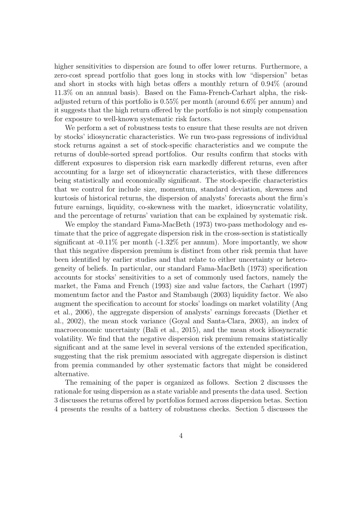higher sensitivities to dispersion are found to offer lower returns. Furthermore, a zero-cost spread portfolio that goes long in stocks with low "dispersion" betas and short in stocks with high betas offers a monthly return of 0.94% (around 11.3% on an annual basis). Based on the Fama-French-Carhart alpha, the riskadjusted return of this portfolio is 0.55% per month (around 6.6% per annum) and it suggests that the high return offered by the portfolio is not simply compensation for exposure to well-known systematic risk factors.

We perform a set of robustness tests to ensure that these results are not driven by stocks' idiosyncratic characteristics. We run two-pass regressions of individual stock returns against a set of stock-specific characteristics and we compute the returns of double-sorted spread portfolios. Our results confirm that stocks with different exposures to dispersion risk earn markedly different returns, even after accounting for a large set of idiosyncratic characteristics, with these differences being statistically and economically significant. The stock-specific characteristics that we control for include size, momentum, standard deviation, skewness and kurtosis of historical returns, the dispersion of analysts' forecasts about the firm's future earnings, liquidity, co-skewness with the market, idiosyncratic volatility, and the percentage of returns' variation that can be explained by systematic risk.

We employ the standard Fama-MacBeth (1973) two-pass methodology and estimate that the price of aggregate dispersion risk in the cross-section is statistically significant at -0.11% per month (-1.32% per annum). More importantly, we show that this negative dispersion premium is distinct from other risk premia that have been identified by earlier studies and that relate to either uncertainty or heterogeneity of beliefs. In particular, our standard Fama-MacBeth (1973) specification accounts for stocks' sensitivities to a set of commonly used factors, namely the market, the Fama and French (1993) size and value factors, the Carhart (1997) momentum factor and the Pastor and Stambaugh (2003) liquidity factor. We also augment the specification to account for stocks' loadings on market volatility (Ang et al., 2006), the aggregate dispersion of analysts' earnings forecasts (Diether et al., 2002), the mean stock variance (Goyal and Santa-Clara, 2003), an index of macroeconomic uncertainty (Bali et al., 2015), and the mean stock idiosyncratic volatility. We find that the negative dispersion risk premium remains statistically significant and at the same level in several versions of the extended specification, suggesting that the risk premium associated with aggregate dispersion is distinct from premia commanded by other systematic factors that might be considered alternative.

The remaining of the paper is organized as follows. Section 2 discusses the rationale for using dispersion as a state variable and presents the data used. Section 3 discusses the returns offered by portfolios formed across dispersion betas. Section 4 presents the results of a battery of robustness checks. Section 5 discusses the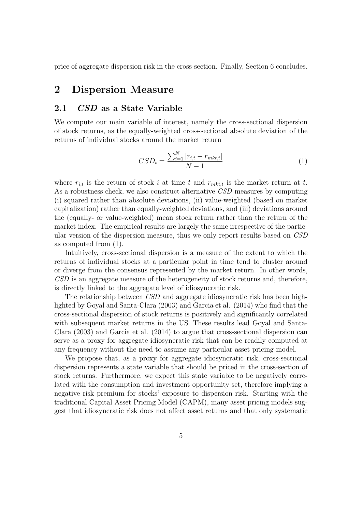price of aggregate dispersion risk in the cross-section. Finally, Section 6 concludes.

## 2 Dispersion Measure

## 2.1 CSD as a State Variable

We compute our main variable of interest, namely the cross-sectional dispersion of stock returns, as the equally-weighted cross-sectional absolute deviation of the returns of individual stocks around the market return

$$
CSD_t = \frac{\sum_{i=1}^{N} |r_{i,t} - r_{mkt,t}|}{N - 1}
$$
\n(1)

where  $r_{i,t}$  is the return of stock i at time t and  $r_{mkt,t}$  is the market return at t. As a robustness check, we also construct alternative CSD measures by computing (i) squared rather than absolute deviations, (ii) value-weighted (based on market capitalization) rather than equally-weighted deviations, and (iii) deviations around the (equally- or value-weighted) mean stock return rather than the return of the market index. The empirical results are largely the same irrespective of the particular version of the dispersion measure, thus we only report results based on CSD as computed from (1).

Intuitively, cross-sectional dispersion is a measure of the extent to which the returns of individual stocks at a particular point in time tend to cluster around or diverge from the consensus represented by the market return. In other words, CSD is an aggregate measure of the heterogeneity of stock returns and, therefore, is directly linked to the aggregate level of idiosyncratic risk.

The relationship between CSD and aggregate idiosyncratic risk has been highlighted by Goyal and Santa-Clara (2003) and Garcia et al. (2014) who find that the cross-sectional dispersion of stock returns is positively and significantly correlated with subsequent market returns in the US. These results lead Goyal and Santa-Clara (2003) and Garcia et al. (2014) to argue that cross-sectional dispersion can serve as a proxy for aggregate idiosyncratic risk that can be readily computed at any frequency without the need to assume any particular asset pricing model.

We propose that, as a proxy for aggregate idiosyncratic risk, cross-sectional dispersion represents a state variable that should be priced in the cross-section of stock returns. Furthermore, we expect this state variable to be negatively correlated with the consumption and investment opportunity set, therefore implying a negative risk premium for stocks' exposure to dispersion risk. Starting with the traditional Capital Asset Pricing Model (CAPM), many asset pricing models suggest that idiosyncratic risk does not affect asset returns and that only systematic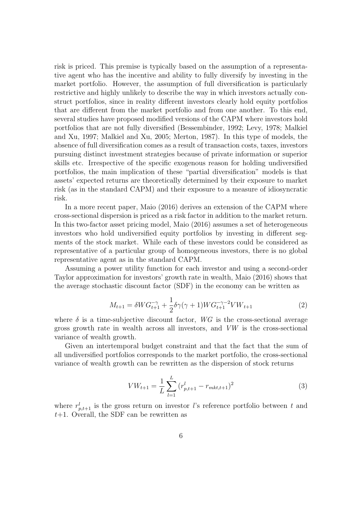risk is priced. This premise is typically based on the assumption of a representative agent who has the incentive and ability to fully diversify by investing in the market portfolio. However, the assumption of full diversification is particularly restrictive and highly unlikely to describe the way in which investors actually construct portfolios, since in reality different investors clearly hold equity portfolios that are different from the market portfolio and from one another. To this end, several studies have proposed modified versions of the CAPM where investors hold portfolios that are not fully diversified (Bessembinder, 1992; Levy, 1978; Malkiel and Xu, 1997; Malkiel and Xu, 2005; Merton, 1987). In this type of models, the absence of full diversification comes as a result of transaction costs, taxes, investors pursuing distinct investment strategies because of private information or superior skills etc. Irrespective of the specific exogenous reason for holding undiversified portfolios, the main implication of these "partial diversification" models is that assets' expected returns are theoretically determined by their exposure to market risk (as in the standard CAPM) and their exposure to a measure of idiosyncratic risk.

In a more recent paper, Maio (2016) derives an extension of the CAPM where cross-sectional dispersion is priced as a risk factor in addition to the market return. In this two-factor asset pricing model, Maio (2016) assumes a set of heterogeneous investors who hold undiversified equity portfolios by investing in different segments of the stock market. While each of these investors could be considered as representative of a particular group of homogeneous investors, there is no global representative agent as in the standard CAPM.

Assuming a power utility function for each investor and using a second-order Taylor approximation for investors' growth rate in wealth, Maio (2016) shows that the average stochastic discount factor (SDF) in the economy can be written as

$$
M_{t+1} = \delta W G_{t+1}^{-\gamma} + \frac{1}{2} \delta \gamma (\gamma + 1) W G_{t+1}^{-\gamma - 2} V W_{t+1}
$$
 (2)

where  $\delta$  is a time-subjective discount factor, WG is the cross-sectional average gross growth rate in wealth across all investors, and VW is the cross-sectional variance of wealth growth.

Given an intertemporal budget constraint and that the fact that the sum of all undiversified portfolios corresponds to the market portfolio, the cross-sectional variance of wealth growth can be rewritten as the dispersion of stock returns

$$
VW_{t+1} = \frac{1}{L} \sum_{l=1}^{L} (r_{p,t+1}^l - r_{mkt,t+1})^2
$$
 (3)

where  $r_{p,t+1}^l$  is the gross return on investor l's reference portfolio between t and  $t+1$ . Overall, the SDF can be rewritten as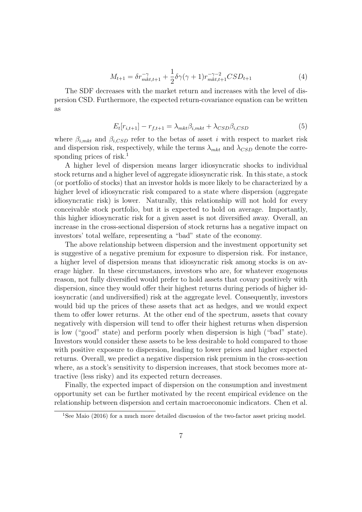$$
M_{t+1} = \delta r_{mkt, t+1}^{-\gamma} + \frac{1}{2} \delta \gamma (\gamma + 1) r_{mkt, t+1}^{-\gamma - 2} CSD_{t+1}
$$
 (4)

The SDF decreases with the market return and increases with the level of dispersion CSD. Furthermore, the expected return-covariance equation can be written as

$$
E_t[r_{i,t+1}] - r_{f,t+1} = \lambda_{mkt} \beta_{i,mkt} + \lambda_{CSD} \beta_{i, CSD}
$$
\n
$$
\tag{5}
$$

where  $\beta_{i,mkt}$  and  $\beta_{i,CSD}$  refer to the betas of asset i with respect to market risk and dispersion risk, respectively, while the terms  $\lambda_{mkt}$  and  $\lambda_{CSD}$  denote the corresponding prices of risk.<sup>1</sup>

A higher level of dispersion means larger idiosyncratic shocks to individual stock returns and a higher level of aggregate idiosyncratic risk. In this state, a stock (or portfolio of stocks) that an investor holds is more likely to be characterized by a higher level of idiosyncratic risk compared to a state where dispersion (aggregate idiosyncratic risk) is lower. Naturally, this relationship will not hold for every conceivable stock portfolio, but it is expected to hold on average. Importantly, this higher idiosyncratic risk for a given asset is not diversified away. Overall, an increase in the cross-sectional dispersion of stock returns has a negative impact on investors' total welfare, representing a "bad" state of the economy.

The above relationship between dispersion and the investment opportunity set is suggestive of a negative premium for exposure to dispersion risk. For instance, a higher level of dispersion means that idiosyncratic risk among stocks is on average higher. In these circumstances, investors who are, for whatever exogenous reason, not fully diversified would prefer to hold assets that covary positively with dispersion, since they would offer their highest returns during periods of higher idiosyncratic (and undiversified) risk at the aggregate level. Consequently, investors would bid up the prices of these assets that act as hedges, and we would expect them to offer lower returns. At the other end of the spectrum, assets that covary negatively with dispersion will tend to offer their highest returns when dispersion is low ("good" state) and perform poorly when dispersion is high ("bad" state). Investors would consider these assets to be less desirable to hold compared to those with positive exposure to dispersion, leading to lower prices and higher expected returns. Overall, we predict a negative dispersion risk premium in the cross-section where, as a stock's sensitivity to dispersion increases, that stock becomes more attractive (less risky) and its expected return decreases.

Finally, the expected impact of dispersion on the consumption and investment opportunity set can be further motivated by the recent empirical evidence on the relationship between dispersion and certain macroeconomic indicators. Chen et al.

<sup>&</sup>lt;sup>1</sup>See Maio (2016) for a much more detailed discussion of the two-factor asset pricing model.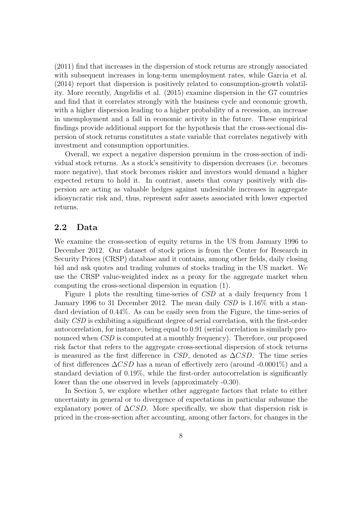(2011) find that increases in the dispersion of stock returns are strongly associated with subsequent increases in long-term unemployment rates, while Garcia et al. (2014) report that dispersion is positively related to consumption-growth volatility. More recently, Angelidis et al. (2015) examine dispersion in the G7 countries and find that it correlates strongly with the business cycle and economic growth, with a higher dispersion leading to a higher probability of a recession, an increase in unemployment and a fall in economic activity in the future. These empirical findings provide additional support for the hypothesis that the cross-sectional dispersion of stock returns constitutes a state variable that correlates negatively with investment and consumption opportunities.

Overall, we expect a negative dispersion premium in the cross-section of individual stock returns. As a stock's sensitivity to dispersion decreases (i.e. becomes more negative), that stock becomes riskier and investors would demand a higher expected return to hold it. In contrast, assets that covary positively with dispersion are acting as valuable hedges against undesirable increases in aggregate idiosyncratic risk and, thus, represent safer assets associated with lower expected returns.

#### 2.2 Data

We examine the cross-section of equity returns in the US from January 1996 to December 2012. Our dataset of stock prices is from the Center for Research in Security Prices (CRSP) database and it contains, among other fields, daily closing bid and ask quotes and trading volumes of stocks trading in the US market. We use the CRSP value-weighted index as a proxy for the aggregate market when computing the cross-sectional dispersion in equation (1).

Figure 1 plots the resulting time-series of CSD at a daily frequency from 1 January 1996 to 31 December 2012. The mean daily CSD is 1.16% with a standard deviation of 0.44%. As can be easily seen from the Figure, the time-series of daily CSD is exhibiting a significant degree of serial correlation, with the first-order autocorrelation, for instance, being equal to 0.91 (serial correlation is similarly pronounced when CSD is computed at a monthly frequency). Therefore, our proposed risk factor that refers to the aggregate cross-sectional dispersion of stock returns is measured as the first difference in CSD, denoted as  $\Delta CSD$ . The time series of first differences  $\Delta CSD$  has a mean of effectively zero (around -0.0001%) and a standard deviation of 0.19%, while the first-order autocorrelation is significantly lower than the one observed in levels (approximately -0.30).

In Section 5, we explore whether other aggregate factors that relate to either uncertainty in general or to divergence of expectations in particular subsume the explanatory power of  $\Delta CSD$ . More specifically, we show that dispersion risk is priced in the cross-section after accounting, among other factors, for changes in the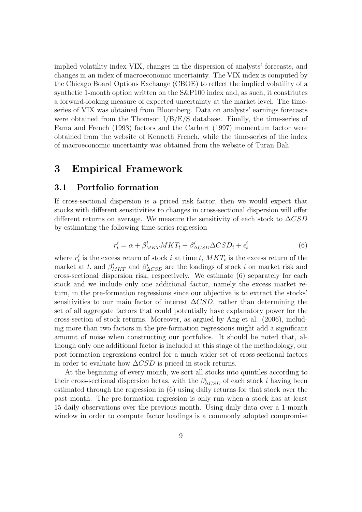implied volatility index VIX, changes in the dispersion of analysts' forecasts, and changes in an index of macroeconomic uncertainty. The VIX index is computed by the Chicago Board Options Exchange (CBOE) to reflect the implied volatility of a synthetic 1-month option written on the S&P100 index and, as such, it constitutes a forward-looking measure of expected uncertainty at the market level. The timeseries of VIX was obtained from Bloomberg. Data on analysts' earnings forecasts were obtained from the Thomson  $I/B/E/S$  database. Finally, the time-series of Fama and French (1993) factors and the Carhart (1997) momentum factor were obtained from the website of Kenneth French, while the time-series of the index of macroeconomic uncertainty was obtained from the website of Turan Bali.

## 3 Empirical Framework

#### 3.1 Portfolio formation

If cross-sectional dispersion is a priced risk factor, then we would expect that stocks with different sensitivities to changes in cross-sectional dispersion will offer different returns on average. We measure the sensitivity of each stock to  $\Delta CSD$ by estimating the following time-series regression

$$
r_t^i = \alpha + \beta_{MKT}^i MKT_t + \beta_{\Delta CSD}^i \Delta CSD_t + \epsilon_t^i
$$
\n<sup>(6)</sup>

where  $r_t^i$  is the excess return of stock i at time t,  $MKT_t$  is the excess return of the market at t, and  $\beta_{MKT}^i$  and  $\beta_{\Delta CSD}^i$  are the loadings of stock i on market risk and cross-sectional dispersion risk, respectively. We estimate (6) separately for each stock and we include only one additional factor, namely the excess market return, in the pre-formation regressions since our objective is to extract the stocks' sensitivities to our main factor of interest  $\Delta CSD$ , rather than determining the set of all aggregate factors that could potentially have explanatory power for the cross-section of stock returns. Moreover, as argued by Ang et al. (2006), including more than two factors in the pre-formation regressions might add a significant amount of noise when constructing our portfolios. It should be noted that, although only one additional factor is included at this stage of the methodology, our post-formation regressions control for a much wider set of cross-sectional factors in order to evaluate how  $\Delta CSD$  is priced in stock returns.

At the beginning of every month, we sort all stocks into quintiles according to their cross-sectional dispersion betas, with the  $\beta_{\Delta CSD}^{i}$  of each stock *i* having been estimated through the regression in (6) using daily returns for that stock over the past month. The pre-formation regression is only run when a stock has at least 15 daily observations over the previous month. Using daily data over a 1-month window in order to compute factor loadings is a commonly adopted compromise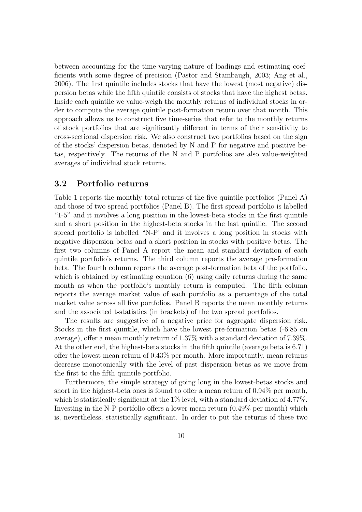between accounting for the time-varying nature of loadings and estimating coefficients with some degree of precision (Pastor and Stambaugh, 2003; Ang et al., 2006). The first quintile includes stocks that have the lowest (most negative) dispersion betas while the fifth quintile consists of stocks that have the highest betas. Inside each quintile we value-weigh the monthly returns of individual stocks in order to compute the average quintile post-formation return over that month. This approach allows us to construct five time-series that refer to the monthly returns of stock portfolios that are significantly different in terms of their sensitivity to cross-sectional dispersion risk. We also construct two portfolios based on the sign of the stocks' dispersion betas, denoted by N and P for negative and positive betas, respectively. The returns of the N and P portfolios are also value-weighted averages of individual stock returns.

## 3.2 Portfolio returns

Table 1 reports the monthly total returns of the five quintile portfolios (Panel A) and those of two spread portfolios (Panel B). The first spread portfolio is labelled "1-5" and it involves a long position in the lowest-beta stocks in the first quintile and a short position in the highest-beta stocks in the last quintile. The second spread portfolio is labelled "N-P' and it involves a long position in stocks with negative dispersion betas and a short position in stocks with positive betas. The first two columns of Panel A report the mean and standard deviation of each quintile portfolio's returns. The third column reports the average pre-formation beta. The fourth column reports the average post-formation beta of the portfolio, which is obtained by estimating equation (6) using daily returns during the same month as when the portfolio's monthly return is computed. The fifth column reports the average market value of each portfolio as a percentage of the total market value across all five portfolios. Panel B reports the mean monthly returns and the associated t-statistics (in brackets) of the two spread portfolios.

The results are suggestive of a negative price for aggregate dispersion risk. Stocks in the first quintile, which have the lowest pre-formation betas (-6.85 on average), offer a mean monthly return of 1.37% with a standard deviation of 7.39%. At the other end, the highest-beta stocks in the fifth quintile (average beta is 6.71) offer the lowest mean return of 0.43% per month. More importantly, mean returns decrease monotonically with the level of past dispersion betas as we move from the first to the fifth quintile portfolio.

Furthermore, the simple strategy of going long in the lowest-betas stocks and short in the highest-beta ones is found to offer a mean return of 0.94% per month, which is statistically significant at the  $1\%$  level, with a standard deviation of 4.77%. Investing in the N-P portfolio offers a lower mean return (0.49% per month) which is, nevertheless, statistically significant. In order to put the returns of these two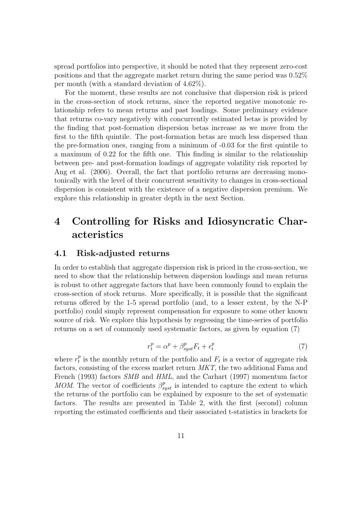spread portfolios into perspective, it should be noted that they represent zero-cost positions and that the aggregate market return during the same period was 0.52% per month (with a standard deviation of 4.62%).

For the moment, these results are not conclusive that dispersion risk is priced in the cross-section of stock returns, since the reported negative monotonic relationship refers to mean returns and past loadings. Some preliminary evidence that returns co-vary negatively with concurrently estimated betas is provided by the finding that post-formation dispersion betas increase as we move from the first to the fifth quintile. The post-formation betas are much less dispersed than the pre-formation ones, ranging from a minimum of -0.03 for the first quintile to a maximum of 0.22 for the fifth one. This finding is similar to the relationship between pre- and post-formation loadings of aggregate volatility risk reported by Ang et al. (2006). Overall, the fact that portfolio returns are decreasing monotonically with the level of their concurrent sensitivity to changes in cross-sectional dispersion is consistent with the existence of a negative dispersion premium. We explore this relationship in greater depth in the next Section.

# 4 Controlling for Risks and Idiosyncratic Characteristics

## 4.1 Risk-adjusted returns

In order to establish that aggregate dispersion risk is priced in the cross-section, we need to show that the relationship between dispersion loadings and mean returns is robust to other aggregate factors that have been commonly found to explain the cross-section of stock returns. More specifically, it is possible that the significant returns offered by the 1-5 spread portfolio (and, to a lesser extent, by the N-P portfolio) could simply represent compensation for exposure to some other known source of risk. We explore this hypothesis by regressing the time-series of portfolio returns on a set of commonly used systematic factors, as given by equation (7)

$$
r_t^p = \alpha^p + \beta_{syst}^p F_t + \epsilon_t^p \tag{7}
$$

where  $r_t^p$  $_t^p$  is the monthly return of the portfolio and  $F_t$  is a vector of aggregate risk factors, consisting of the excess market return MKT, the two additional Fama and French (1993) factors SMB and HML, and the Carhart (1997) momentum factor MOM. The vector of coefficients  $\beta_{syst}^p$  is intended to capture the extent to which the returns of the portfolio can be explained by exposure to the set of systematic factors. The results are presented in Table 2, with the first (second) column reporting the estimated coefficients and their associated t-statistics in brackets for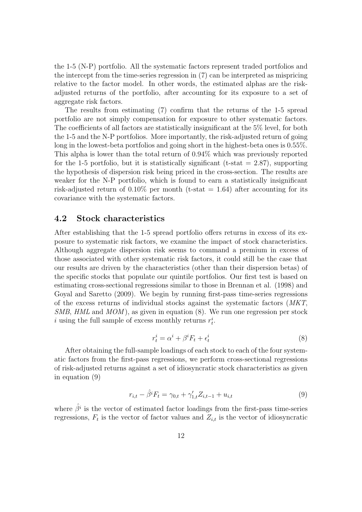the 1-5 (N-P) portfolio. All the systematic factors represent traded portfolios and the intercept from the time-series regression in (7) can be interpreted as mispricing relative to the factor model. In other words, the estimated alphas are the riskadjusted returns of the portfolio, after accounting for its exposure to a set of aggregate risk factors.

The results from estimating (7) confirm that the returns of the 1-5 spread portfolio are not simply compensation for exposure to other systematic factors. The coefficients of all factors are statistically insignificant at the 5% level, for both the 1-5 and the N-P portfolios. More importantly, the risk-adjusted return of going long in the lowest-beta portfolios and going short in the highest-beta ones is 0.55%. This alpha is lower than the total return of 0.94% which was previously reported for the 1-5 portfolio, but it is statistically significant (t-stat  $= 2.87$ ), supporting the hypothesis of dispersion risk being priced in the cross-section. The results are weaker for the N-P portfolio, which is found to earn a statistically insignificant risk-adjusted return of  $0.10\%$  per month (t-stat = 1.64) after accounting for its covariance with the systematic factors.

#### 4.2 Stock characteristics

After establishing that the 1-5 spread portfolio offers returns in excess of its exposure to systematic risk factors, we examine the impact of stock characteristics. Although aggregate dispersion risk seems to command a premium in excess of those associated with other systematic risk factors, it could still be the case that our results are driven by the characteristics (other than their dispersion betas) of the specific stocks that populate our quintile portfolios. Our first test is based on estimating cross-sectional regressions similar to those in Brennan et al. (1998) and Goyal and Saretto (2009). We begin by running first-pass time-series regressions of the excess returns of individual stocks against the systematic factors (MKT, SMB, HML and  $MOM$ , as given in equation (8). We run one regression per stock i using the full sample of excess monthly returns  $r_t^i$ .

$$
r_t^i = \alpha^i + \beta^i F_t + \epsilon_t^i \tag{8}
$$

After obtaining the full-sample loadings of each stock to each of the four systematic factors from the first-pass regressions, we perform cross-sectional regressions of risk-adjusted returns against a set of idiosyncratic stock characteristics as given in equation (9)

$$
r_{i,t} - \hat{\beta}^i F_t = \gamma_{0,t} + \gamma'_{1,t} Z_{i,t-1} + u_{i,t}
$$
\n(9)

where  $\hat{\beta}^i$  is the vector of estimated factor loadings from the first-pass time-series regressions,  $F_t$  is the vector of factor values and  $Z_{i,t}$  is the vector of idiosyncratic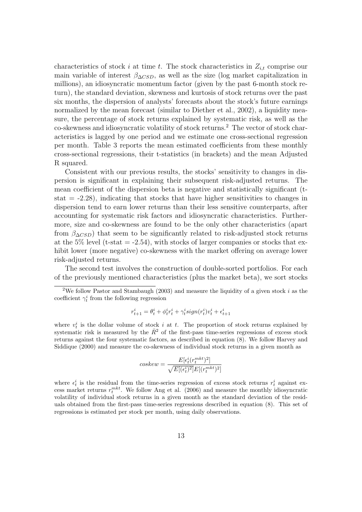characteristics of stock i at time t. The stock characteristics in  $Z_{i,t}$  comprise our main variable of interest  $\beta_{\Delta CSD}$ , as well as the size (log market capitalization in millions), an idiosyncratic momentum factor (given by the past 6-month stock return), the standard deviation, skewness and kurtosis of stock returns over the past six months, the dispersion of analysts' forecasts about the stock's future earnings normalized by the mean forecast (similar to Diether et al., 2002), a liquidity measure, the percentage of stock returns explained by systematic risk, as well as the co-skewness and idiosyncratic volatility of stock returns. <sup>2</sup> The vector of stock characteristics is lagged by one period and we estimate one cross-sectional regression per month. Table 3 reports the mean estimated coefficients from these monthly cross-sectional regressions, their t-statistics (in brackets) and the mean Adjusted R squared.

Consistent with our previous results, the stocks' sensitivity to changes in dispersion is significant in explaining their subsequent risk-adjusted returns. The mean coefficient of the dispersion beta is negative and statistically significant (tstat  $= -2.28$ ), indicating that stocks that have higher sensitivities to changes in dispersion tend to earn lower returns than their less sensitive counterparts, after accounting for systematic risk factors and idiosyncratic characteristics. Furthermore, size and co-skewness are found to be the only other characteristics (apart from  $\beta_{\Delta CSD}$ ) that seem to be significantly related to risk-adjusted stock returns at the 5% level (t-stat  $= -2.54$ ), with stocks of larger companies or stocks that exhibit lower (more negative) co-skewness with the market offering on average lower risk-adjusted returns.

The second test involves the construction of double-sorted portfolios. For each of the previously mentioned characteristics (plus the market beta), we sort stocks

$$
r^i_{t+1} = \theta^i_t + \phi^i_t r^i_t + \gamma^i_t sign(r^i_t) v^i_t + \epsilon^i_{t+1}
$$

where  $v_t^i$  is the dollar volume of stock i at t. The proportion of stock returns explained by systematic risk is measured by the  $\bar{R}^2$  of the first-pass time-series regressions of excess stock returns against the four systematic factors, as described in equation (8). We follow Harvey and Siddique (2000) and measure the co-skewness of individual stock returns in a given month as

$$
cos kew = \frac{E[\epsilon_t^i(r_t^{mkt})^2]}{\sqrt{E[(\epsilon_t^i)^2]}E[(r_t^{mkt})^2]}
$$

where  $\epsilon_t^i$  is the residual from the time-series regression of excess stock returns  $r_t^i$  against excess market returns  $r_t^{mkt}$ . We follow Ang et al. (2006) and measure the monthly idiosyncratic volatility of individual stock returns in a given month as the standard deviation of the residuals obtained from the first-pass time-series regressions described in equation (8). This set of regressions is estimated per stock per month, using daily observations.

<sup>&</sup>lt;sup>2</sup>We follow Pastor and Stambaugh (2003) and measure the liquidity of a given stock  $i$  as the coefficient  $\gamma_t^i$  from the following regression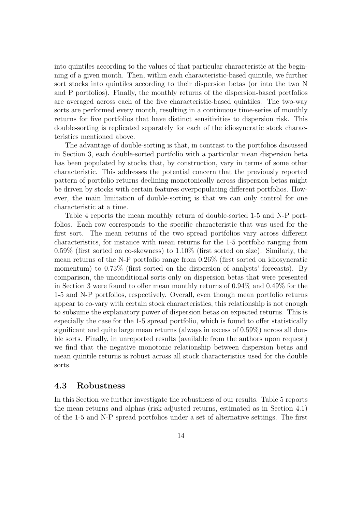into quintiles according to the values of that particular characteristic at the beginning of a given month. Then, within each characteristic-based quintile, we further sort stocks into quintiles according to their dispersion betas (or into the two N and P portfolios). Finally, the monthly returns of the dispersion-based portfolios are averaged across each of the five characteristic-based quintiles. The two-way sorts are performed every month, resulting in a continuous time-series of monthly returns for five portfolios that have distinct sensitivities to dispersion risk. This double-sorting is replicated separately for each of the idiosyncratic stock characteristics mentioned above.

The advantage of double-sorting is that, in contrast to the portfolios discussed in Section 3, each double-sorted portfolio with a particular mean dispersion beta has been populated by stocks that, by construction, vary in terms of some other characteristic. This addresses the potential concern that the previously reported pattern of portfolio returns declining monotonically across dispersion betas might be driven by stocks with certain features overpopulating different portfolios. However, the main limitation of double-sorting is that we can only control for one characteristic at a time.

Table 4 reports the mean monthly return of double-sorted 1-5 and N-P portfolios. Each row corresponds to the specific characteristic that was used for the first sort. The mean returns of the two spread portfolios vary across different characteristics, for instance with mean returns for the 1-5 portfolio ranging from 0.59% (first sorted on co-skewness) to 1.10% (first sorted on size). Similarly, the mean returns of the N-P portfolio range from 0.26% (first sorted on idiosyncratic momentum) to 0.73% (first sorted on the dispersion of analysts' forecasts). By comparison, the unconditional sorts only on dispersion betas that were presented in Section 3 were found to offer mean monthly returns of 0.94% and 0.49% for the 1-5 and N-P portfolios, respectively. Overall, even though mean portfolio returns appear to co-vary with certain stock characteristics, this relationship is not enough to subsume the explanatory power of dispersion betas on expected returns. This is especially the case for the 1-5 spread portfolio, which is found to offer statistically significant and quite large mean returns (always in excess of 0.59%) across all double sorts. Finally, in unreported results (available from the authors upon request) we find that the negative monotonic relationship between dispersion betas and mean quintile returns is robust across all stock characteristics used for the double sorts.

#### 4.3 Robustness

In this Section we further investigate the robustness of our results. Table 5 reports the mean returns and alphas (risk-adjusted returns, estimated as in Section 4.1) of the 1-5 and N-P spread portfolios under a set of alternative settings. The first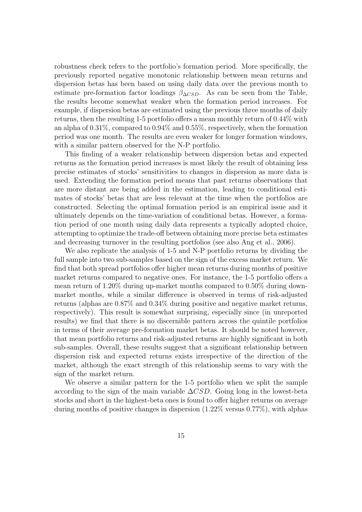robustness check refers to the portfolio's formation period. More specifically, the previously reported negative monotonic relationship between mean returns and dispersion betas has been based on using daily data over the previous month to estimate pre-formation factor loadings  $\beta_{\Delta CSD}$ . As can be seen from the Table, the results become somewhat weaker when the formation period increases. For example, if dispersion betas are estimated using the previous three months of daily returns, then the resulting 1-5 portfolio offers a mean monthly return of 0.44% with an alpha of 0.31%, compared to 0.94% and 0.55%, respectively, when the formation period was one month. The results are even weaker for longer formation windows, with a similar pattern observed for the N-P portfolio.

This finding of a weaker relationship between dispersion betas and expected returns as the formation period increases is most likely the result of obtaining less precise estimates of stocks' sensitivities to changes in dispersion as more data is used. Extending the formation period means that past returns observations that are more distant are being added in the estimation, leading to conditional estimates of stocks' betas that are less relevant at the time when the portfolios are constructed. Selecting the optimal formation period is an empirical issue and it ultimately depends on the time-variation of conditional betas. However, a formation period of one month using daily data represents a typically adopted choice, attempting to optimize the trade-off between obtaining more precise beta estimates and decreasing turnover in the resulting portfolios (see also Ang et al., 2006).

We also replicate the analysis of 1-5 and N-P portfolio returns by dividing the full sample into two sub-samples based on the sign of the excess market return. We find that both spread portfolios offer higher mean returns during months of positive market returns compared to negative ones. For instance, the 1-5 portfolio offers a mean return of 1.20% during up-market months compared to 0.50% during downmarket months, while a similar difference is observed in terms of risk-adjusted returns (alphas are 0.87% and 0.34% during positive and negative market returns, respectively). This result is somewhat surprising, especially since (in unreported results) we find that there is no discernible pattern across the quintile portfolios in terms of their average pre-formation market betas. It should be noted however, that mean portfolio returns and risk-adjusted returns are highly significant in both sub-samples. Overall, these results suggest that a significant relationship between dispersion risk and expected returns exists irrespective of the direction of the market, although the exact strength of this relationship seems to vary with the sign of the market return.

We observe a similar pattern for the 1-5 portfolio when we split the sample according to the sign of the main variable  $\Delta CSD$ . Going long in the lowest-beta stocks and short in the highest-beta ones is found to offer higher returns on average during months of positive changes in dispersion  $(1.22\%$  versus  $0.77\%)$ , with alphas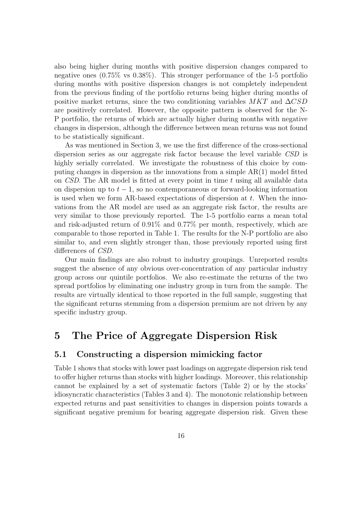also being higher during months with positive dispersion changes compared to negative ones (0.75% vs 0.38%). This stronger performance of the 1-5 portfolio during months with positive dispersion changes is not completely independent from the previous finding of the portfolio returns being higher during months of positive market returns, since the two conditioning variables  $MKT$  and  $\Delta CSD$ are positively correlated. However, the opposite pattern is observed for the N-P portfolio, the returns of which are actually higher during months with negative changes in dispersion, although the difference between mean returns was not found to be statistically significant.

As was mentioned in Section 3, we use the first difference of the cross-sectional dispersion series as our aggregate risk factor because the level variable CSD is highly serially correlated. We investigate the robustness of this choice by computing changes in dispersion as the innovations from a simple AR(1) model fitted on *CSD*. The AR model is fitted at every point in time  $t$  using all available data on dispersion up to  $t - 1$ , so no contemporaneous or forward-looking information is used when we form AR-based expectations of dispersion at  $t$ . When the innovations from the AR model are used as an aggregate risk factor, the results are very similar to those previously reported. The 1-5 portfolio earns a mean total and risk-adjusted return of 0.91% and 0.77% per month, respectively, which are comparable to those reported in Table 1. The results for the N-P portfolio are also similar to, and even slightly stronger than, those previously reported using first differences of CSD.

Our main findings are also robust to industry groupings. Unreported results suggest the absence of any obvious over-concentration of any particular industry group across our quintile portfolios. We also re-estimate the returns of the two spread portfolios by eliminating one industry group in turn from the sample. The results are virtually identical to those reported in the full sample, suggesting that the significant returns stemming from a dispersion premium are not driven by any specific industry group.

## 5 The Price of Aggregate Dispersion Risk

## 5.1 Constructing a dispersion mimicking factor

Table 1 shows that stocks with lower past loadings on aggregate dispersion risk tend to offer higher returns than stocks with higher loadings. Moreover, this relationship cannot be explained by a set of systematic factors (Table 2) or by the stocks' idiosyncratic characteristics (Tables 3 and 4). The monotonic relationship between expected returns and past sensitivities to changes in dispersion points towards a significant negative premium for bearing aggregate dispersion risk. Given these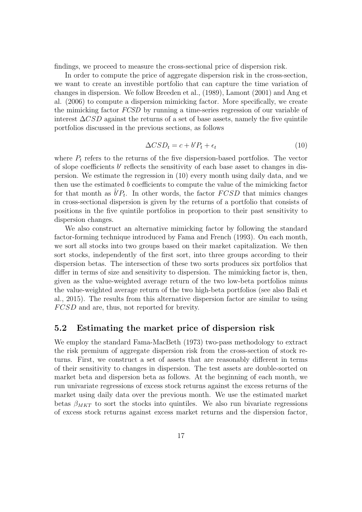findings, we proceed to measure the cross-sectional price of dispersion risk.

In order to compute the price of aggregate dispersion risk in the cross-section, we want to create an investible portfolio that can capture the time variation of changes in dispersion. We follow Breeden et al., (1989), Lamont (2001) and Ang et al. (2006) to compute a dispersion mimicking factor. More specifically, we create the mimicking factor FCSD by running a time-series regression of our variable of interest  $\Delta CSD$  against the returns of a set of base assets, namely the five quintile portfolios discussed in the previous sections, as follows

$$
\Delta CSD_t = c + b'P_t + \epsilon_t \tag{10}
$$

where  $P_t$  refers to the returns of the five dispersion-based portfolios. The vector of slope coefficients  $b'$  reflects the sensitivity of each base asset to changes in dispersion. We estimate the regression in (10) every month using daily data, and we then use the estimated b coefficients to compute the value of the mimicking factor for that month as  $\hat{b}'P_t$ . In other words, the factor  $FCSD$  that mimics changes in cross-sectional dispersion is given by the returns of a portfolio that consists of positions in the five quintile portfolios in proportion to their past sensitivity to dispersion changes.

We also construct an alternative mimicking factor by following the standard factor-forming technique introduced by Fama and French (1993). On each month, we sort all stocks into two groups based on their market capitalization. We then sort stocks, independently of the first sort, into three groups according to their dispersion betas. The intersection of these two sorts produces six portfolios that differ in terms of size and sensitivity to dispersion. The mimicking factor is, then, given as the value-weighted average return of the two low-beta portfolios minus the value-weighted average return of the two high-beta portfolios (see also Bali et al., 2015). The results from this alternative dispersion factor are similar to using FCSD and are, thus, not reported for brevity.

## 5.2 Estimating the market price of dispersion risk

We employ the standard Fama-MacBeth (1973) two-pass methodology to extract the risk premium of aggregate dispersion risk from the cross-section of stock returns. First, we construct a set of assets that are reasonably different in terms of their sensitivity to changes in dispersion. The test assets are double-sorted on market beta and dispersion beta as follows. At the beginning of each month, we run univariate regressions of excess stock returns against the excess returns of the market using daily data over the previous month. We use the estimated market betas  $\beta_{MKT}$  to sort the stocks into quintiles. We also run bivariate regressions of excess stock returns against excess market returns and the dispersion factor,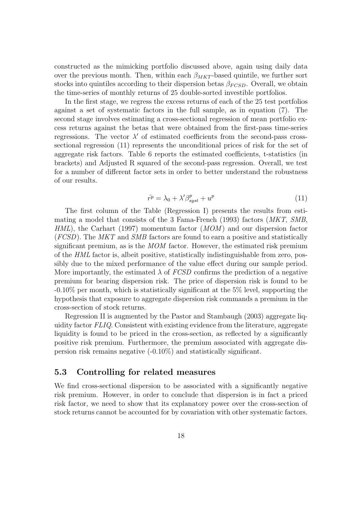constructed as the mimicking portfolio discussed above, again using daily data over the previous month. Then, within each  $\beta_{MKT}$ -based quintile, we further sort stocks into quintiles according to their dispersion betas  $\beta_{FCSD}$ . Overall, we obtain the time-series of monthly returns of 25 double-sorted investible portfolios.

In the first stage, we regress the excess returns of each of the 25 test portfolios against a set of systematic factors in the full sample, as in equation (7). The second stage involves estimating a cross-sectional regression of mean portfolio excess returns against the betas that were obtained from the first-pass time-series regressions. The vector  $\lambda'$  of estimated coefficients from the second-pass crosssectional regression (11) represents the unconditional prices of risk for the set of aggregate risk factors. Table 6 reports the estimated coefficients, t-statistics (in brackets) and Adjusted R squared of the second-pass regression. Overall, we test for a number of different factor sets in order to better understand the robustness of our results.

$$
\bar{r^p} = \lambda_0 + \lambda' \beta_{syst}^p + u^p \tag{11}
$$

The first column of the Table (Regression I) presents the results from estimating a model that consists of the 3 Fama-French (1993) factors (MKT, SMB,  $HML$ ), the Carhart (1997) momentum factor  $(MOM)$  and our dispersion factor (FCSD). The MKT and SMB factors are found to earn a positive and statistically significant premium, as is the *MOM* factor. However, the estimated risk premium of the HML factor is, albeit positive, statistically indistinguishable from zero, possibly due to the mixed performance of the value effect during our sample period. More importantly, the estimated  $\lambda$  of FCSD confirms the prediction of a negative premium for bearing dispersion risk. The price of dispersion risk is found to be -0.10% per month, which is statistically significant at the 5% level, supporting the hypothesis that exposure to aggregate dispersion risk commands a premium in the cross-section of stock returns.

Regression II is augmented by the Pastor and Stambaugh (2003) aggregate liquidity factor FLIQ. Consistent with existing evidence from the literature, aggregate liquidity is found to be priced in the cross-section, as reflected by a significantly positive risk premium. Furthermore, the premium associated with aggregate dispersion risk remains negative (-0.10%) and statistically significant.

#### 5.3 Controlling for related measures

We find cross-sectional dispersion to be associated with a significantly negative risk premium. However, in order to conclude that dispersion is in fact a priced risk factor, we need to show that its explanatory power over the cross-section of stock returns cannot be accounted for by covariation with other systematic factors.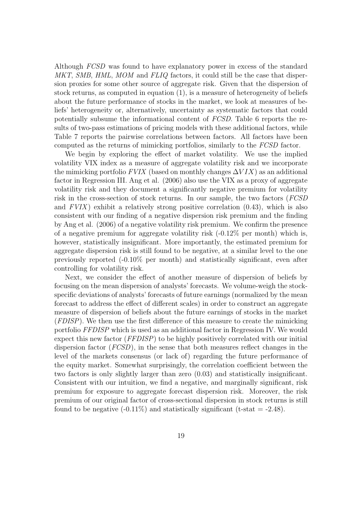Although FCSD was found to have explanatory power in excess of the standard MKT, SMB, HML, MOM and FLIQ factors, it could still be the case that dispersion proxies for some other source of aggregate risk. Given that the dispersion of stock returns, as computed in equation (1), is a measure of heterogeneity of beliefs about the future performance of stocks in the market, we look at measures of beliefs' heterogeneity or, alternatively, uncertainty as systematic factors that could potentially subsume the informational content of FCSD. Table 6 reports the results of two-pass estimations of pricing models with these additional factors, while Table 7 reports the pairwise correlations between factors. All factors have been computed as the returns of mimicking portfolios, similarly to the FCSD factor.

We begin by exploring the effect of market volatility. We use the implied volatility VIX index as a measure of aggregate volatility risk and we incorporate the mimicking portfolio  $FVIX$  (based on monthly changes  $\Delta VIX$ ) as an additional factor in Regression III. Ang et al. (2006) also use the VIX as a proxy of aggregate volatility risk and they document a significantly negative premium for volatility risk in the cross-section of stock returns. In our sample, the two factors (FCSD and  $FVIX$ ) exhibit a relatively strong positive correlation  $(0.43)$ , which is also consistent with our finding of a negative dispersion risk premium and the finding by Ang et al. (2006) of a negative volatility risk premium. We confirm the presence of a negative premium for aggregate volatility risk  $(-0.12\%$  per month) which is, however, statistically insignificant. More importantly, the estimated premium for aggregate dispersion risk is still found to be negative, at a similar level to the one previously reported (-0.10% per month) and statistically significant, even after controlling for volatility risk.

Next, we consider the effect of another measure of dispersion of beliefs by focusing on the mean dispersion of analysts' forecasts. We volume-weigh the stockspecific deviations of analysts' forecasts of future earnings (normalized by the mean forecast to address the effect of different scales) in order to construct an aggregate measure of dispersion of beliefs about the future earnings of stocks in the market (FDISP). We then use the first difference of this measure to create the mimicking portfolio FFDISP which is used as an additional factor in Regression IV. We would expect this new factor (FFDISP) to be highly positively correlated with our initial dispersion factor (FCSD), in the sense that both measures reflect changes in the level of the markets consensus (or lack of) regarding the future performance of the equity market. Somewhat surprisingly, the correlation coefficient between the two factors is only slightly larger than zero (0.03) and statistically insignificant. Consistent with our intuition, we find a negative, and marginally significant, risk premium for exposure to aggregate forecast dispersion risk. Moreover, the risk premium of our original factor of cross-sectional dispersion in stock returns is still found to be negative  $(-0.11\%)$  and statistically significant  $(t-stat = -2.48)$ .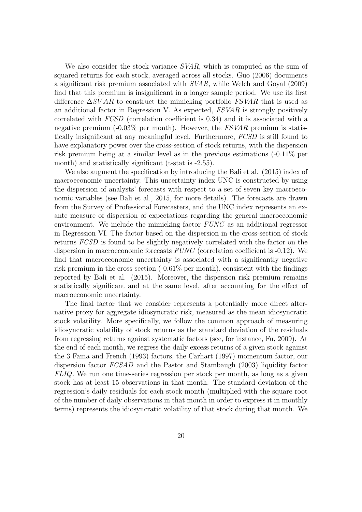We also consider the stock variance  $SVAR$ , which is computed as the sum of squared returns for each stock, averaged across all stocks. Guo (2006) documents a significant risk premium associated with SVAR, while Welch and Goyal (2009) find that this premium is insignificant in a longer sample period. We use its first difference  $\Delta SVAR$  to construct the mimicking portfolio FSVAR that is used as an additional factor in Regression V. As expected, FSVAR is strongly positively correlated with FCSD (correlation coefficient is 0.34) and it is associated with a negative premium  $(-0.03\%$  per month). However, the FSVAR premium is statistically insignificant at any meaningful level. Furthermore, FCSD is still found to have explanatory power over the cross-section of stock returns, with the dispersion risk premium being at a similar level as in the previous estimations (-0.11% per month) and statistically significant (t-stat is -2.55).

We also augment the specification by introducing the Bali et al. (2015) index of macroeconomic uncertainty. This uncertainty index UNC is constructed by using the dispersion of analysts' forecasts with respect to a set of seven key macroeconomic variables (see Bali et al., 2015, for more details). The forecasts are drawn from the Survey of Professional Forecasters, and the UNC index represents an exante measure of dispersion of expectations regarding the general macroeconomic environment. We include the mimicking factor FUNC as an additional regressor in Regression VI. The factor based on the dispersion in the cross-section of stock returns FCSD is found to be slightly negatively correlated with the factor on the dispersion in macroeconomic forecasts  $FUNC$  (correlation coefficient is -0.12). We find that macroeconomic uncertainty is associated with a significantly negative risk premium in the cross-section (-0.61% per month), consistent with the findings reported by Bali et al. (2015). Moreover, the dispersion risk premium remains statistically significant and at the same level, after accounting for the effect of macroeconomic uncertainty.

The final factor that we consider represents a potentially more direct alternative proxy for aggregate idiosyncratic risk, measured as the mean idiosyncratic stock volatility. More specifically, we follow the common approach of measuring idiosyncratic volatility of stock returns as the standard deviation of the residuals from regressing returns against systematic factors (see, for instance, Fu, 2009). At the end of each month, we regress the daily excess returns of a given stock against the 3 Fama and French (1993) factors, the Carhart (1997) momentum factor, our dispersion factor FCSAD and the Pastor and Stambaugh (2003) liquidity factor FLIQ. We run one time-series regression per stock per month, as long as a given stock has at least 15 observations in that month. The standard deviation of the regression's daily residuals for each stock-month (multiplied with the square root of the number of daily observations in that month in order to express it in monthly terms) represents the idiosyncratic volatility of that stock during that month. We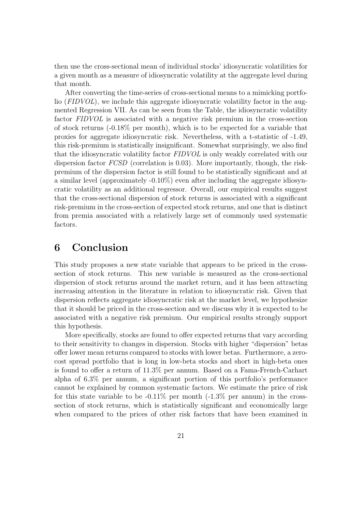then use the cross-sectional mean of individual stocks' idiosyncratic volatilities for a given month as a measure of idiosyncratic volatility at the aggregate level during that month.

After converting the time-series of cross-sectional means to a mimicking portfolio (FIDVOL), we include this aggregate idiosyncratic volatility factor in the augmented Regression VII. As can be seen from the Table, the idiosyncratic volatility factor FIDVOL is associated with a negative risk premium in the cross-section of stock returns (-0.18% per month), which is to be expected for a variable that proxies for aggregate idiosyncratic risk. Nevertheless, with a t-statistic of -1.49, this risk-premium is statistically insignificant. Somewhat surprisingly, we also find that the idiosyncratic volatility factor FIDVOL is only weakly correlated with our dispersion factor FCSD (correlation is 0.03). More importantly, though, the riskpremium of the dispersion factor is still found to be statistically significant and at a similar level (approximately  $-0.10\%$ ) even after including the aggregate idiosyncratic volatility as an additional regressor. Overall, our empirical results suggest that the cross-sectional dispersion of stock returns is associated with a significant risk-premium in the cross-section of expected stock returns, and one that is distinct from premia associated with a relatively large set of commonly used systematic factors.

## 6 Conclusion

This study proposes a new state variable that appears to be priced in the crosssection of stock returns. This new variable is measured as the cross-sectional dispersion of stock returns around the market return, and it has been attracting increasing attention in the literature in relation to idiosyncratic risk. Given that dispersion reflects aggregate idiosyncratic risk at the market level, we hypothesize that it should be priced in the cross-section and we discuss why it is expected to be associated with a negative risk premium. Our empirical results strongly support this hypothesis.

More specifically, stocks are found to offer expected returns that vary according to their sensitivity to changes in dispersion. Stocks with higher "dispersion" betas offer lower mean returns compared to stocks with lower betas. Furthermore, a zerocost spread portfolio that is long in low-beta stocks and short in high-beta ones is found to offer a return of 11.3% per annum. Based on a Fama-French-Carhart alpha of 6.3% per annum, a significant portion of this portfolio's performance cannot be explained by common systematic factors. We estimate the price of risk for this state variable to be  $-0.11\%$  per month  $(-1.3\%$  per annum) in the crosssection of stock returns, which is statistically significant and economically large when compared to the prices of other risk factors that have been examined in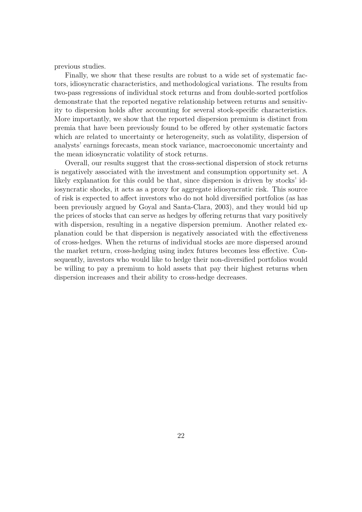previous studies.

Finally, we show that these results are robust to a wide set of systematic factors, idiosyncratic characteristics, and methodological variations. The results from two-pass regressions of individual stock returns and from double-sorted portfolios demonstrate that the reported negative relationship between returns and sensitivity to dispersion holds after accounting for several stock-specific characteristics. More importantly, we show that the reported dispersion premium is distinct from premia that have been previously found to be offered by other systematic factors which are related to uncertainty or heterogeneity, such as volatility, dispersion of analysts' earnings forecasts, mean stock variance, macroeconomic uncertainty and the mean idiosyncratic volatility of stock returns.

Overall, our results suggest that the cross-sectional dispersion of stock returns is negatively associated with the investment and consumption opportunity set. A likely explanation for this could be that, since dispersion is driven by stocks' idiosyncratic shocks, it acts as a proxy for aggregate idiosyncratic risk. This source of risk is expected to affect investors who do not hold diversified portfolios (as has been previously argued by Goyal and Santa-Clara, 2003), and they would bid up the prices of stocks that can serve as hedges by offering returns that vary positively with dispersion, resulting in a negative dispersion premium. Another related explanation could be that dispersion is negatively associated with the effectiveness of cross-hedges. When the returns of individual stocks are more dispersed around the market return, cross-hedging using index futures becomes less effective. Consequently, investors who would like to hedge their non-diversified portfolios would be willing to pay a premium to hold assets that pay their highest returns when dispersion increases and their ability to cross-hedge decreases.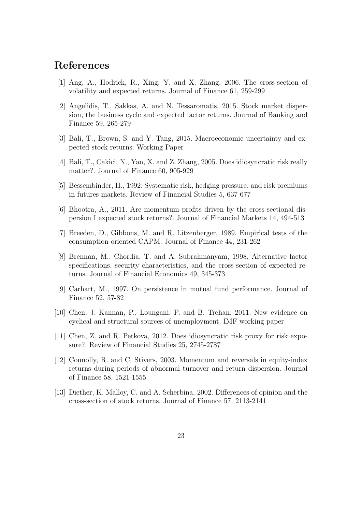## References

- [1] Ang, A., Hodrick, R., Xing, Y. and X. Zhang, 2006. The cross-section of volatility and expected returns. Journal of Finance 61, 259-299
- [2] Angelidis, T., Sakkas, A. and N. Tessaromatis, 2015. Stock market dispersion, the business cycle and expected factor returns. Journal of Banking and Finance 59, 265-279
- [3] Bali, T., Brown, S. and Y. Tang, 2015. Macroeconomic uncertainty and expected stock returns. Working Paper
- [4] Bali, T., Cakici, N., Yan, X. and Z. Zhang, 2005. Does idiosyncratic risk really matter?. Journal of Finance 60, 905-929
- [5] Bessembinder, H., 1992. Systematic risk, hedging pressure, and risk premiums in futures markets. Review of Financial Studies 5, 637-677
- [6] Bhootra, A., 2011. Are momentum profits driven by the cross-sectional dispersion I expected stock returns?. Journal of Financial Markets 14, 494-513
- [7] Breeden, D., Gibbons, M. and R. Litzenberger, 1989. Empirical tests of the consumption-oriented CAPM. Journal of Finance 44, 231-262
- [8] Brennan, M., Chordia, T. and A. Subrahmanyam, 1998. Alternative factor specifications, security characteristics, and the cross-section of expected returns. Journal of Financial Economics 49, 345-373
- [9] Carhart, M., 1997. On persistence in mutual fund performance. Journal of Finance 52, 57-82
- [10] Chen, J. Kannan, P., Loungani, P. and B. Trehan, 2011. New evidence on cyclical and structural sources of unemployment. IMF working paper
- [11] Chen, Z. and R. Petkova, 2012. Does idiosyncratic risk proxy for risk exposure?. Review of Financial Studies 25, 2745-2787
- [12] Connolly, R. and C. Stivers, 2003. Momentum and reversals in equity-index returns during periods of abnormal turnover and return dispersion. Journal of Finance 58, 1521-1555
- [13] Diether, K. Malloy, C. and A. Scherbina, 2002. Differences of opinion and the cross-section of stock returns. Journal of Finance 57, 2113-2141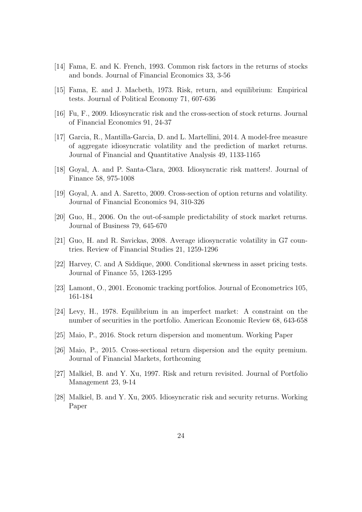- [14] Fama, E. and K. French, 1993. Common risk factors in the returns of stocks and bonds. Journal of Financial Economics 33, 3-56
- [15] Fama, E. and J. Macbeth, 1973. Risk, return, and equilibrium: Empirical tests. Journal of Political Economy 71, 607-636
- [16] Fu, F., 2009. Idiosyncratic risk and the cross-section of stock returns. Journal of Financial Economics 91, 24-37
- [17] Garcia, R., Mantilla-Garcia, D. and L. Martellini, 2014. A model-free measure of aggregate idiosyncratic volatility and the prediction of market returns. Journal of Financial and Quantitative Analysis 49, 1133-1165
- [18] Goyal, A. and P. Santa-Clara, 2003. Idiosyncratic risk matters!. Journal of Finance 58, 975-1008
- [19] Goyal, A. and A. Saretto, 2009. Cross-section of option returns and volatility. Journal of Financial Economics 94, 310-326
- [20] Guo, H., 2006. On the out-of-sample predictability of stock market returns. Journal of Business 79, 645-670
- [21] Guo, H. and R. Savickas, 2008. Average idiosyncratic volatility in G7 countries. Review of Financial Studies 21, 1259-1296
- [22] Harvey, C. and A Siddique, 2000. Conditional skewness in asset pricing tests. Journal of Finance 55, 1263-1295
- [23] Lamont, O., 2001. Economic tracking portfolios. Journal of Econometrics 105, 161-184
- [24] Levy, H., 1978. Equilibrium in an imperfect market: A constraint on the number of securities in the portfolio. American Economic Review 68, 643-658
- [25] Maio, P., 2016. Stock return dispersion and momentum. Working Paper
- [26] Maio, P., 2015. Cross-sectional return dispersion and the equity premium. Journal of Financial Markets, forthcoming
- [27] Malkiel, B. and Y. Xu, 1997. Risk and return revisited. Journal of Portfolio Management 23, 9-14
- [28] Malkiel, B. and Y. Xu, 2005. Idiosyncratic risk and security returns. Working Paper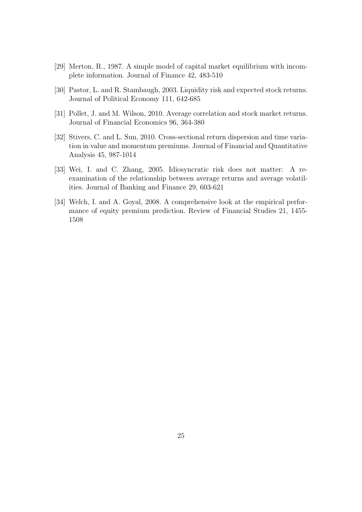- [29] Merton, R., 1987. A simple model of capital market equilibrium with incomplete information. Journal of Finance 42, 483-510
- [30] Pastor, L. and R. Stambaugh, 2003. Liquidity risk and expected stock returns. Journal of Political Economy 111, 642-685
- [31] Pollet, J. and M. Wilson, 2010. Average correlation and stock market returns. Journal of Financial Economics 96, 364-380
- [32] Stivers, C. and L. Sun, 2010. Cross-sectional return dispersion and time variation in value and momentum premiums. Journal of Financial and Quantitative Analysis 45, 987-1014
- [33] Wei, I. and C. Zhang, 2005. Idiosyncratic risk does not matter: A reexamination of the relationship between average returns and average volatilities. Journal of Banking and Finance 29, 603-621
- [34] Welch, I. and A. Goyal, 2008. A comprehensive look at the empirical performance of equity premium prediction. Review of Financial Studies 21, 1455- 1508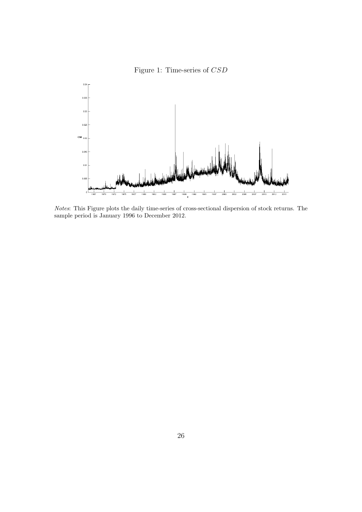



Notes: This Figure plots the daily time-series of cross-sectional dispersion of stock returns. The sample period is January 1996 to December 2012.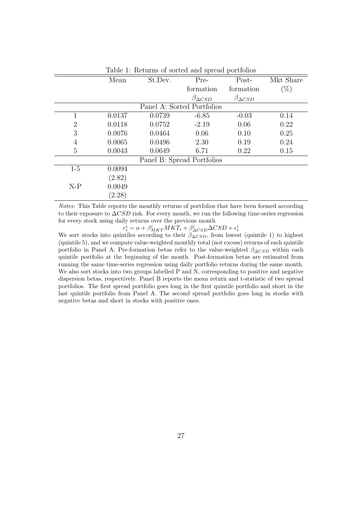|                            | Mean   | St.Dev. | Pre-                       |                      | Mkt Share |  |  |  |
|----------------------------|--------|---------|----------------------------|----------------------|-----------|--|--|--|
|                            |        |         | formation<br>formation     |                      | $(\%)$    |  |  |  |
|                            |        |         | $\beta_{\Delta CSD}$       | $\beta_{\Delta CSD}$ |           |  |  |  |
|                            |        |         | Panel A: Sorted Portfolios |                      |           |  |  |  |
| 1                          | 0.0137 | 0.0739  | $-6.85$                    | $-0.03$              | 0.14      |  |  |  |
| $\overline{2}$             | 0.0118 | 0.0752  | $-2.19$                    | 0.06                 | 0.22      |  |  |  |
| 3                          | 0.0076 | 0.0464  | 0.06                       | 0.10                 | 0.25      |  |  |  |
| $\overline{4}$             | 0.0065 | 0.0496  | 2.30                       | 0.19                 | 0.24      |  |  |  |
| 5                          | 0.0043 | 0.0649  | 6.71                       | 0.22                 | 0.15      |  |  |  |
| Panel B: Spread Portfolios |        |         |                            |                      |           |  |  |  |
| $1-5$                      | 0.0094 |         |                            |                      |           |  |  |  |
|                            | (2.82) |         |                            |                      |           |  |  |  |
| $N-P$                      | 0.0049 |         |                            |                      |           |  |  |  |
|                            | (2.28) |         |                            |                      |           |  |  |  |

Table 1: Returns of sorted and spread portfolios

Notes: This Table reports the monthly returns of portfolios that have been formed according to their exposure to  $\Delta CSD$  risk. For every month, we run the following time-series regression for every stock using daily returns over the previous month

 $r_t^i = \alpha + \beta_{MKT}^i MKT_t + \beta_{\Delta CSD}^i \Delta CSD + \epsilon_t^i$ <br>We sort stocks into quintiles according to their  $\beta_{\Delta CSD}$ , from lowest (quintile 1) to highest (quintile 5), and we compute value-weighted monthly total (not excess) returns of each quintile portfolio in Panel A. Pre-formation betas refer to the value-weighted  $\beta_{\Delta CSD}$  within each quintile portfolio at the beginning of the month. Post-formation betas are estimated from running the same time-series regression using daily portfolio returns during the same month. We also sort stocks into two groups labelled P and N, corresponding to positive and negative dispersion betas, respectively. Panel B reports the mean return and t-statistic of two spread portfolios. The first spread portfolio goes long in the first quintile portfolio and short in the last quintile portfolio from Panel A. The second spread portfolio goes long in stocks with negative betas and short in stocks with positive ones.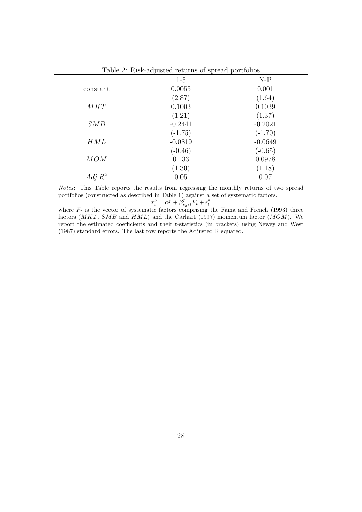| $\frac{1}{2}$ . $\frac{1}{2}$ . There are no control to the second portation |           |           |  |  |  |  |  |
|------------------------------------------------------------------------------|-----------|-----------|--|--|--|--|--|
|                                                                              | $1-5$     | $N-P$     |  |  |  |  |  |
| constant                                                                     | 0.0055    | 0.001     |  |  |  |  |  |
|                                                                              | (2.87)    | (1.64)    |  |  |  |  |  |
| MKT                                                                          | 0.1003    | 0.1039    |  |  |  |  |  |
|                                                                              | (1.21)    | (1.37)    |  |  |  |  |  |
| SMB                                                                          | $-0.2441$ | $-0.2021$ |  |  |  |  |  |
|                                                                              | $(-1.75)$ | $(-1.70)$ |  |  |  |  |  |
| HML                                                                          | $-0.0819$ | $-0.0649$ |  |  |  |  |  |
|                                                                              | $(-0.46)$ | $(-0.65)$ |  |  |  |  |  |
| MOM                                                                          | 0.133     | 0.0978    |  |  |  |  |  |
|                                                                              | (1.30)    | (1.18)    |  |  |  |  |  |
| $Adj.R^2$                                                                    | 0.05      | 0.07      |  |  |  |  |  |

Table 2: Risk-adjusted returns of spread portfolios

Notes: This Table reports the results from regressing the monthly returns of two spread portfolios (constructed as described in Table 1) against a set of systematic factors.  $r_t^p$ 

$$
f_t^o = \alpha^p + \beta_{syst}^p F_t + \epsilon_t^p
$$

where  $F_t$  is the vector of systematic factors comprising the Fama and French (1993) three factors  $(MKT, \, SMB$  and  $HML)$  and the Carhart (1997) momentum factor  $(MOM)$ . We report the estimated coefficients and their t-statistics (in brackets) using Newey and West (1987) standard errors. The last row reports the Adjusted R squared.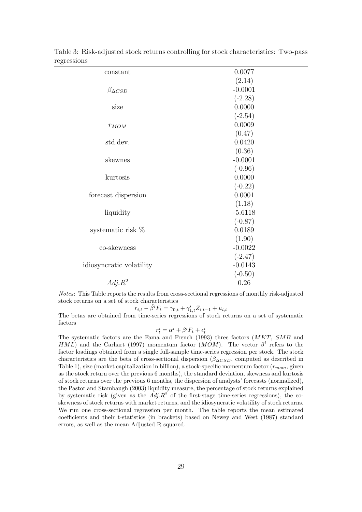| constant                 | 0.0077    |
|--------------------------|-----------|
|                          | (2.14)    |
| $\beta_{\Delta CSD}$     | $-0.0001$ |
|                          | $(-2.28)$ |
| size                     | 0.0000    |
|                          | $(-2.54)$ |
| $r_{MOM}$                | 0.0009    |
|                          | (0.47)    |
| std.dev.                 | 0.0420    |
|                          | (0.36)    |
| skewnes                  | $-0.0001$ |
|                          | $(-0.96)$ |
| kurtosis                 | 0.0000    |
|                          | $(-0.22)$ |
| forecast dispersion      | 0.0001    |
|                          | (1.18)    |
| liquidity                | $-5.6118$ |
|                          | $(-0.87)$ |
| systematic risk $%$      | 0.0189    |
|                          | (1.90)    |
| co-skewness              | $-0.0022$ |
|                          | $(-2.47)$ |
| idiosyncratic volatility | $-0.0143$ |
|                          | $(-0.50)$ |
| $Adj.R^2$                | 0.26      |

Table 3: Risk-adjusted stock returns controlling for stock characteristics: Two-pass regressions

Notes: This Table reports the results from cross-sectional regressions of monthly risk-adjusted stock returns on a set of stock characteristics

 $r_{i,t} - \hat{\beta}^i F_t = \gamma_{0,t} + \gamma'_{1,t} Z_{i,t-1} + u_{i,t}$ 

The betas are obtained from time-series regressions of stock returns on a set of systematic factors

 $r_t^i = \alpha^i + \beta^i F_t + \epsilon_t^i$ 

The systematic factors are the Fama and French (1993) three factors (MKT, SMB and HML) and the Carhart (1997) momentum factor (MOM). The vector  $\beta^i$  refers to the factor loadings obtained from a single full-sample time-series regression per stock. The stock characteristics are the beta of cross-sectional dispersion  $(\beta_{\Delta CSD})$ , computed as described in Table 1), size (market capitalization in billion), a stock-specific momentum factor  $(r_{mom},$  given as the stock return over the previous 6 months), the standard deviation, skewness and kurtosis of stock returns over the previous 6 months, the dispersion of analysts' forecasts (normalized), the Pastor and Stambaugh (2003) liquidity measure, the percentage of stock returns explained by systematic risk (given as the  $Adj.R^2$  of the first-stage time-series regressions), the coskewness of stock returns with market returns, and the idiosyncratic volatility of stock returns. We run one cross-sectional regression per month. The table reports the mean estimated coefficients and their t-statistics (in brackets) based on Newey and West (1987) standard errors, as well as the mean Adjusted R squared.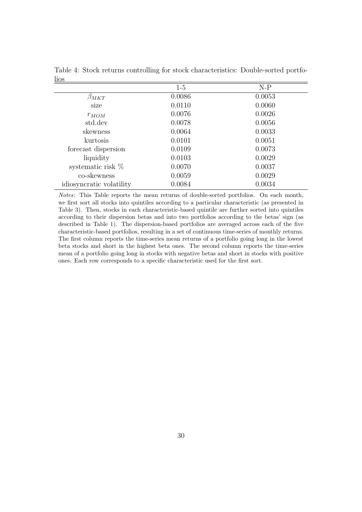|                          | $1-5$  | $N-P$  |
|--------------------------|--------|--------|
| $\beta_{MKT}$            | 0.0086 | 0.0053 |
| size                     | 0.0110 | 0.0060 |
| $r_{MOM}$                | 0.0076 | 0.0026 |
| std.dev                  | 0.0078 | 0.0056 |
| skewness                 | 0.0064 | 0.0033 |
| kurtosis                 | 0.0101 | 0.0051 |
| forecast dispersion      | 0.0109 | 0.0073 |
| liquidity                | 0.0103 | 0.0029 |
| systematic risk $%$      | 0.0070 | 0.0037 |
| co-skewness              | 0.0059 | 0.0029 |
| idiosyncratic volatility | 0.0084 | 0.0034 |

Table 4: Stock returns controlling for stock characteristics: Double-sorted portfolios

Notes: This Table reports the mean returns of double-sorted portfolios. On each month, we first sort all stocks into quintiles according to a particular characteristic (as presented in Table 3). Then, stocks in each characteristic-based quintile are further sorted into quintiles according to their dispersion betas and into two portfolios according to the betas' sign (as described in Table 1). The dispersion-based portfolios are averaged across each of the five characteristic-based portfolios, resulting in a set of continuous time-series of monthly returns. The first column reports the time-series mean returns of a portfolio going long in the lowest beta stocks and short in the highest beta ones. The second column reports the time-series mean of a portfolio going long in stocks with negative betas and short in stocks with positive ones. Each row corresponds to a specific characteristic used for the first sort.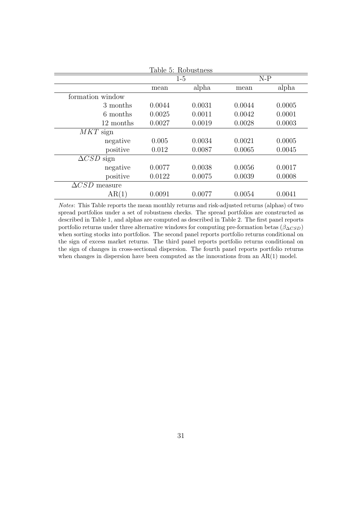| Table 5: Robustness  |        |        |        |        |  |  |  |  |
|----------------------|--------|--------|--------|--------|--|--|--|--|
|                      |        | $1-5$  | $N-P$  |        |  |  |  |  |
|                      | mean   | alpha  |        | alpha  |  |  |  |  |
| formation window     |        |        |        |        |  |  |  |  |
| 3 months             | 0.0044 | 0.0031 | 0.0044 | 0.0005 |  |  |  |  |
| 6 months             | 0.0025 | 0.0011 | 0.0042 | 0.0001 |  |  |  |  |
| 12 months            | 0.0027 | 0.0019 | 0.0028 | 0.0003 |  |  |  |  |
| $MKT$ sign           |        |        |        |        |  |  |  |  |
| negative             | 0.005  | 0.0034 | 0.0021 | 0.0005 |  |  |  |  |
| positive             | 0.012  | 0.0087 | 0.0065 | 0.0045 |  |  |  |  |
| $\Delta CSD$ sign    |        |        |        |        |  |  |  |  |
| negative             | 0.0077 | 0.0038 | 0.0056 | 0.0017 |  |  |  |  |
| positive             | 0.0122 | 0.0075 | 0.0039 | 0.0008 |  |  |  |  |
| $\Delta CSD$ measure |        |        |        |        |  |  |  |  |
| AR(1)                | 0.0091 | 0.0077 | 0.0054 | 0.0041 |  |  |  |  |

Notes: This Table reports the mean monthly returns and risk-adjusted returns (alphas) of two spread portfolios under a set of robustness checks. The spread portfolios are constructed as described in Table 1, and alphas are computed as described in Table 2. The first panel reports portfolio returns under three alternative windows for computing pre-formation betas ( $\beta_{\Delta CSD}$ ) when sorting stocks into portfolios. The second panel reports portfolio returns conditional on the sign of excess market returns. The third panel reports portfolio returns conditional on the sign of changes in cross-sectional dispersion. The fourth panel reports portfolio returns when changes in dispersion have been computed as the innovations from an AR(1) model.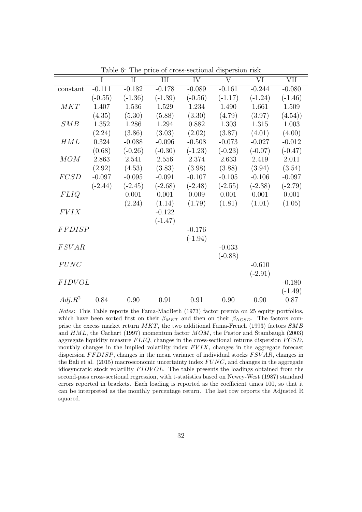|               | I         | II        | III       | IV        | $\overline{\rm V}$ | VI        | <b>VII</b> |
|---------------|-----------|-----------|-----------|-----------|--------------------|-----------|------------|
| constant      | $-0.111$  | $-0.182$  | $-0.178$  | $-0.089$  | $-0.161$           | $-0.244$  | $-0.080$   |
|               | $(-0.55)$ | $(-1.36)$ | $(-1.39)$ | $(-0.56)$ | $(-1.17)$          | $(-1.24)$ | $(-1.46)$  |
| MKT           | 1.407     | 1.536     | 1.529     | 1.234     | 1.490              | 1.661     | 1.509      |
|               | (4.35)    | (5.30)    | (5.88)    | (3.30)    | (4.79)             | (3.97)    | (4.54)     |
| SMB           | 1.352     | 1.286     | 1.294     | 0.882     | 1.303              | 1.315     | 1.003      |
|               | (2.24)    | (3.86)    | (3.03)    | (2.02)    | (3.87)             | (4.01)    | (4.00)     |
| HML           | 0.324     | $-0.088$  | $-0.096$  | $-0.508$  | $-0.073$           | $-0.027$  | $-0.012$   |
|               | (0.68)    | $(-0.26)$ | $(-0.30)$ | $(-1.23)$ | $(-0.23)$          | $(-0.07)$ | $(-0.47)$  |
| MOM           | 2.863     | 2.541     | 2.556     | 2.374     | 2.633              | 2.419     | 2.011      |
|               | (2.92)    | (4.53)    | (3.83)    | (3.98)    | (3.88)             | (3.94)    | (3.54)     |
| FCSD          | $-0.097$  | $-0.095$  | $-0.091$  | $-0.107$  | $-0.105$           | $-0.106$  | $-0.097$   |
|               | $(-2.44)$ | $(-2.45)$ | $(-2.68)$ | $(-2.48)$ | $(-2.55)$          | $(-2.38)$ | $(-2.79)$  |
| <i>FLIQ</i>   |           | 0.001     | 0.001     | 0.009     | 0.001              | 0.001     | 0.001      |
|               |           | (2.24)    | (1.14)    | (1.79)    | (1.81)             | (1.01)    | (1.05)     |
| <b>FVIX</b>   |           |           | $-0.122$  |           |                    |           |            |
|               |           |           | $(-1.47)$ |           |                    |           |            |
| FFDISP        |           |           |           | $-0.176$  |                    |           |            |
|               |           |           |           | $(-1.94)$ |                    |           |            |
| <b>FSVAR</b>  |           |           |           |           | $-0.033$           |           |            |
|               |           |           |           |           | $(-0.88)$          |           |            |
| FUNC          |           |           |           |           |                    | $-0.610$  |            |
|               |           |           |           |           |                    | $(-2.91)$ |            |
| <b>FIDVOL</b> |           |           |           |           |                    |           | $-0.180$   |
|               |           |           |           |           |                    |           | $(-1.49)$  |
| $Adj.R^2$     | 0.84      | 0.90      | 0.91      | 0.91      | 0.90               | 0.90      | 0.87       |

Table 6: The price of cross-sectional dispersion risk

Notes: This Table reports the Fama-MacBeth (1973) factor premia on 25 equity portfolios, which have been sorted first on their  $\beta_{MKT}$  and then on their  $\beta_{\Delta CSD}$ . The factors comprise the excess market return MKT, the two additional Fama-French (1993) factors SMB and HML, the Carhart (1997) momentum factor MOM, the Pastor and Stambaugh (2003) aggregate liquidity measure  $FLIQ$ , changes in the cross-sectional returns dispersion  $FCSD$ , monthly changes in the implied volatility index  $FVIX$ , changes in the aggregate forecast dispersion  $FFDISP$ , changes in the mean variance of individual stocks  $FSVAR$ , changes in the Bali et al.  $(2015)$  macroeconomic uncertainty index  $FUNC$ , and changes in the aggregate idiosyncratic stock volatility  $FIDVOL$ . The table presents the loadings obtained from the second-pass cross-sectional regression, with t-statistics based on Newey-West (1987) standard errors reported in brackets. Each loading is reported as the coefficient times 100, so that it can be interpreted as the monthly percentage return. The last row reports the Adjusted R squared.